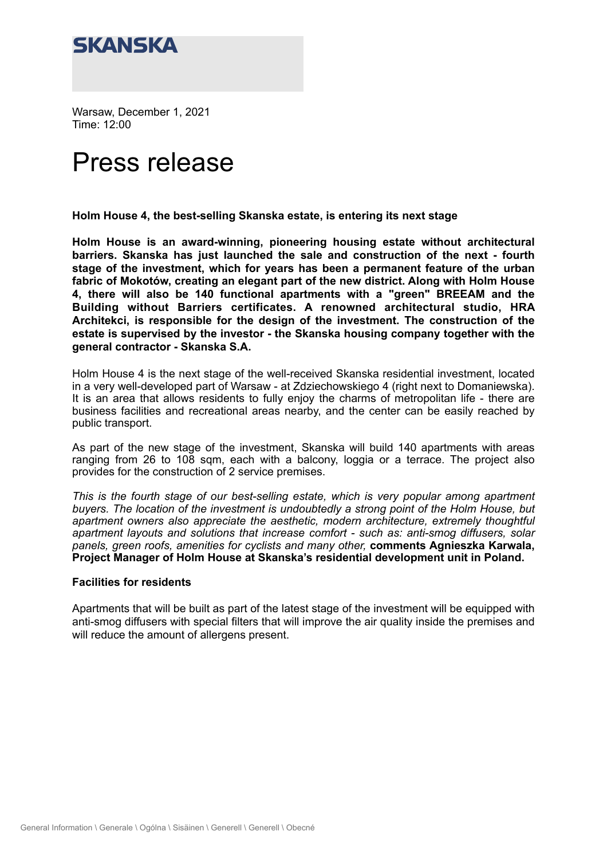

Warsaw, December 1, 2021 Time: 12:00

# Press release

**Holm House 4, the best-selling Skanska estate, is entering its next stage** 

**Holm House is an award-winning, pioneering housing estate without architectural barriers. Skanska has just launched the sale and construction of the next - fourth stage of the investment, which for years has been a permanent feature of the urban fabric of Mokotów, creating an elegant part of the new district. Along with Holm House 4, there will also be 140 functional apartments with a "green" BREEAM and the Building without Barriers certificates. A renowned architectural studio, HRA Architekci, is responsible for the design of the investment. The construction of the estate is supervised by the investor - the Skanska housing company together with the general contractor - Skanska S.A.**

Holm House 4 is the next stage of the well-received Skanska residential investment, located in a very well-developed part of Warsaw - at Zdziechowskiego 4 (right next to Domaniewska). It is an area that allows residents to fully enjoy the charms of metropolitan life - there are business facilities and recreational areas nearby, and the center can be easily reached by public transport.

As part of the new stage of the investment, Skanska will build 140 apartments with areas ranging from 26 to 108 sqm, each with a balcony, loggia or a terrace. The project also provides for the construction of 2 service premises.

*This is the fourth stage of our best-selling estate, which is very popular among apartment buyers. The location of the investment is undoubtedly a strong point of the Holm House, but*  apartment owners also appreciate the aesthetic, modern architecture, extremely thoughtful *apartment layouts and solutions that increase comfort - such as: anti-smog diffusers, solar panels, green roofs, amenities for cyclists and many other,* **comments Agnieszka Karwala, Project Manager of Holm House at Skanska's residential development unit in Poland.** 

#### **Facilities for residents**

Apartments that will be built as part of the latest stage of the investment will be equipped with anti-smog diffusers with special filters that will improve the air quality inside the premises and will reduce the amount of allergens present.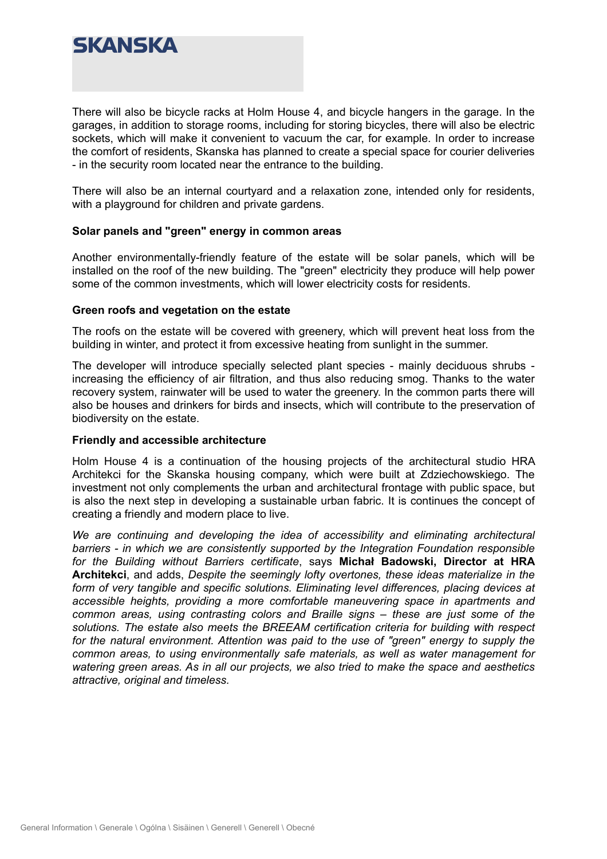

There will also be bicycle racks at Holm House 4, and bicycle hangers in the garage. In the garages, in addition to storage rooms, including for storing bicycles, there will also be electric sockets, which will make it convenient to vacuum the car, for example. In order to increase the comfort of residents, Skanska has planned to create a special space for courier deliveries - in the security room located near the entrance to the building.

There will also be an internal courtyard and a relaxation zone, intended only for residents, with a playground for children and private gardens.

### **Solar panels and "green" energy in common areas**

Another environmentally-friendly feature of the estate will be solar panels, which will be installed on the roof of the new building. The "green" electricity they produce will help power some of the common investments, which will lower electricity costs for residents.

#### **Green roofs and vegetation on the estate**

The roofs on the estate will be covered with greenery, which will prevent heat loss from the building in winter, and protect it from excessive heating from sunlight in the summer.

The developer will introduce specially selected plant species - mainly deciduous shrubs increasing the efficiency of air filtration, and thus also reducing smog. Thanks to the water recovery system, rainwater will be used to water the greenery. In the common parts there will also be houses and drinkers for birds and insects, which will contribute to the preservation of biodiversity on the estate.

#### **Friendly and accessible architecture**

Holm House 4 is a continuation of the housing projects of the architectural studio HRA Architekci for the Skanska housing company, which were built at Zdziechowskiego. The investment not only complements the urban and architectural frontage with public space, but is also the next step in developing a sustainable urban fabric. It is continues the concept of creating a friendly and modern place to live.

*We are continuing and developing the idea of accessibility and eliminating architectural barriers - in which we are consistently supported by the Integration Foundation responsible for the Building without Barriers certificate*, says **Michał Badowski, Director at HRA Architekci**, and adds, *Despite the seemingly lofty overtones, these ideas materialize in the form of very tangible and specific solutions. Eliminating level differences, placing devices at accessible heights, providing a more comfortable maneuvering space in apartments and common areas, using contrasting colors and Braille signs – these are just some of the solutions. The estate also meets the BREEAM certification criteria for building with respect*  for the natural environment. Attention was paid to the use of "green" energy to supply the *common areas, to using environmentally safe materials, as well as water management for watering green areas. As in all our projects, we also tried to make the space and aesthetics attractive, original and timeless.*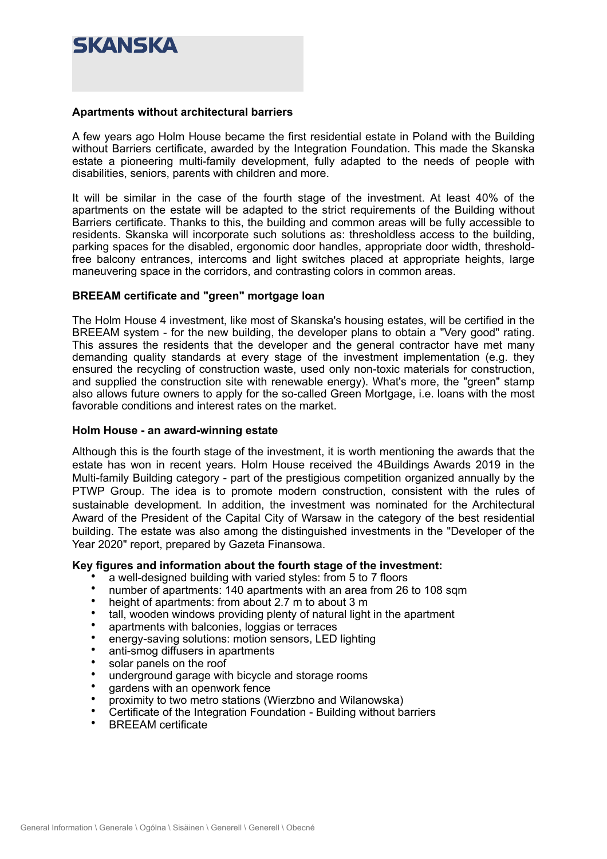## SKANSKA

#### **Apartments without architectural barriers**

A few years ago Holm House became the first residential estate in Poland with the Building without Barriers certificate, awarded by the Integration Foundation. This made the Skanska estate a pioneering multi-family development, fully adapted to the needs of people with disabilities, seniors, parents with children and more.

It will be similar in the case of the fourth stage of the investment. At least 40% of the apartments on the estate will be adapted to the strict requirements of the Building without Barriers certificate. Thanks to this, the building and common areas will be fully accessible to residents. Skanska will incorporate such solutions as: thresholdless access to the building, parking spaces for the disabled, ergonomic door handles, appropriate door width, thresholdfree balcony entrances, intercoms and light switches placed at appropriate heights, large maneuvering space in the corridors, and contrasting colors in common areas.

#### **BREEAM certificate and "green" mortgage loan**

The Holm House 4 investment, like most of Skanska's housing estates, will be certified in the BREEAM system - for the new building, the developer plans to obtain a "Very good" rating. This assures the residents that the developer and the general contractor have met many demanding quality standards at every stage of the investment implementation (e.g. they ensured the recycling of construction waste, used only non-toxic materials for construction, and supplied the construction site with renewable energy). What's more, the "green" stamp also allows future owners to apply for the so-called Green Mortgage, i.e. loans with the most favorable conditions and interest rates on the market.

#### **Holm House - an award-winning estate**

Although this is the fourth stage of the investment, it is worth mentioning the awards that the estate has won in recent years. Holm House received the 4Buildings Awards 2019 in the Multi-family Building category - part of the prestigious competition organized annually by the PTWP Group. The idea is to promote modern construction, consistent with the rules of sustainable development. In addition, the investment was nominated for the Architectural Award of the President of the Capital City of Warsaw in the category of the best residential building. The estate was also among the distinguished investments in the "Developer of the Year 2020" report, prepared by Gazeta Finansowa.

#### **Key figures and information about the fourth stage of the investment:**

- a well-designed building with varied styles: from 5 to 7 floors
- number of apartments:  $140$  apartments with an area from 26 to 108 sqm<br>• height of apartments: from about 2.7 m to about 3 m
- height of apartments: from about 2.7 m to about 3 m
- tall, wooden windows providing plenty of natural light in the apartment
- apartments with balconies, loggias or terraces
- energy-saving solutions: motion sensors, LED lighting
- anti-smog diffusers in apartments
- solar panels on the roof
- underground garage with bicycle and storage rooms
- gardens with an openwork fence
- proximity to two metro stations (Wierzbno and Wilanowska)
- Certificate of the Integration Foundation Building without barriers
- BREEAM certificate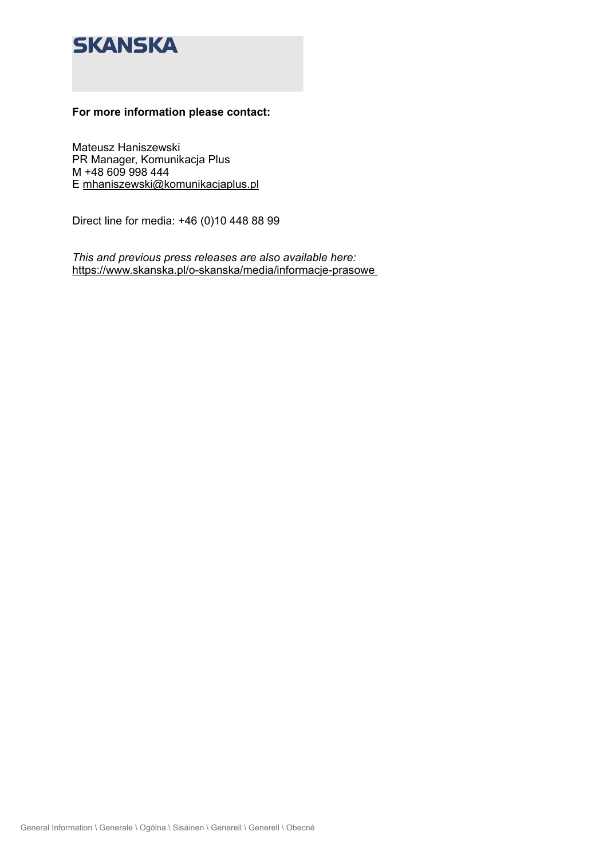### **SKANSKA**

### **For more information please contact:**

Mateusz Haniszewski PR Manager, Komunikacja Plus M +48 609 998 444 E [mhaniszewski@komunikacjaplus.pl](mailto:mhaniszewski@komunikacjaplus.pl) 

Direct line for media: +46 (0)10 448 88 99

*This and previous press releases are also available here:*  [https://www.skanska.pl/o-skanska/media/informacje-prasowe](https://www.skanska.pl/o-skanska/media/informacje-prasowe/)